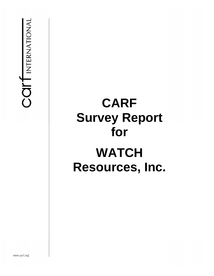**COIT** INTERNATIONAL

# **CARF Survey Report for WATCH Resources, Inc.**

www.carf.org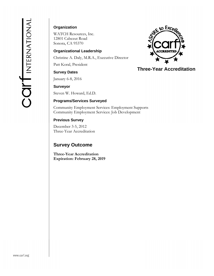#### **Organization**

WATCH Resources, Inc. 12801 Cabezut Road Sonora, CA 95370

#### **Organizational Leadership**

Christine A. Daly, M.R.A., Executive Director

Patt Koral, President

#### **Survey Dates**

January 6-8, 2016

#### **Surveyor**

Steven W. Howard, Ed.D.

#### **Programs/Services Surveyed**

Community Employment Services: Employment Supports Community Employment Services: Job Development

#### **Previous Survey**

December 3-5, 2012 Three-Year Accreditation

## **Survey Outcome**

**Three-Year Accreditation Expiration: February 28, 2019** 



## **Three-Year Accreditation**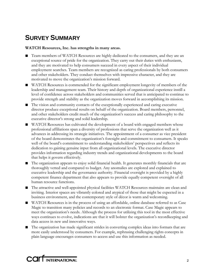# **SURVEY SUMMARY**

#### **WATCH Resources, Inc. has strengths in many areas.**

- Team members of WATCH Resources are highly dedicated to the consumers, and they are an exceptional source of pride for the organization. They carry out their duties with enthusiasm, and they are motivated to help consumers succeed in every aspect of their individual employment searches. Team members are recognized as caring professionals by both consumers and other stakeholders. They conduct themselves with impressive character, and they are motivated to move the organization's mission forward.
- WATCH Resources is commended for the significant employment longevity of members of the leadership and management team. Their history and depth of organizational experience instill a level of confidence across stakeholders and communities served that is anticipated to continue to provide strength and stability as the organization moves forward in accomplishing its mission.
- The vision and community contacts of the exceptionally experienced and caring executive director produce exceptional results on behalf of the organization. Board members, personnel, and other stakeholders credit much of the organization's success and caring philosophy to the executive director's strong and solid leadership.
- WATCH Resources has cultivated the development of a board with engaged members whose professional affiliations span a diversity of professions that serve the organization well as it advances in addressing its strategic initiatives. The appointment of a consumer as vice president of the board demonstrates the organization's foresight and commitment to consumers. It speaks well of the board's commitment to understanding stakeholders' perspectives and reflects its dedication to gaining genuine input from all organizational levels. The executive director provides information regarding industry trends and organizational developments to the board that helps it govern effectively.
- The organization appears to enjoy solid financial health. It generates monthly financials that are thoroughly vetted and compared to budget. Any anomalies are explored and explained to executive leadership and the governance authority. Financial oversight is provided by a highly competent finance department that also appears to provide equally competent oversight of all human resource functions.
- The attractive and well-appointed physical facilities WATCH Resources maintains are clean and inviting. Interior spaces are vibrantly colored and atypical of those that might be expected in a business environment, and the contemporary style of décor is warm and welcoming.
- WATCH Resources is in the process of using an affordable, online database referred to as Case Magic to transition many policies and records to an electronic format. Case Magic appears to meet the organization's needs. Although the process for utilizing this tool in the most effective ways continues to evolve, indications are that it will bolster the organization's recordkeeping and data access in new and innovative ways.
- The organization has made significant strides in converting complex ideas into formats that are more easily understood by consumers. For example, rephrasing challenging rights concepts in plain language encourages consumers to access and use this information as needed.

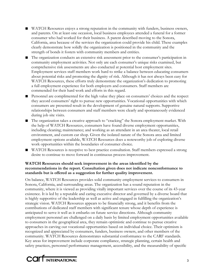- WATCH Resources enjoys a strong reputation in the community with funders, business owners, and parents. On at least one occasion, local business employees attended a funeral for a former consumer who had worked for their business. A parent described moving to the Sonora, California, area because of the services the organization could provide his child. These examples clearly demonstrate how solidly the organization is positioned in the community and the strength of bonds it fosters with community members and entities.
- The organization conducts an extensive risk assessment prior to the consumer's participation in community employment activities. Not only are each consumer's unique risks examined, but comprehensive risk assessments are also conducted at potential host employment sites. Employment services staff members work hard to strike a balance between educating consumers about potential risks and promoting the dignity of risk. Although it has not always been easy for WATCH Resources, these efforts truly demonstrate the organization's dedication to promoting a full employment experience for both employers and consumers. Staff members are commended for their hard work and efforts in this regard.
- Personnel are complimented for the high value they place on consumers' choices and the respect they accord consumers' right to pursue new opportunities. Vocational opportunities with which consumers are presented result in the development of genuine natural supports. Supportive relationships between consumers and staff members were clearly and spontaneously evidenced during job site visits.
- The organization takes a creative approach to "cracking" the Sonora employment market. With the help of WATCH Resources, consumers have found diverse employment opportunities, including cleaning; maintenance; and working as an attendant in an area theater, local retail environment, and custom car shop. Given the isolated nature of the Sonora area and limited employment options available, WATCH Resources does a noteworthy job of exploring diverse work opportunities within the boundaries of consumer choice.
- WATCH Resources is receptive to best practice consultation. Staff members expressed a strong desire to continue to move forward in continuous process improvement.

#### **WATCH Resources should seek improvement in the areas identified by the recommendations in the report. Consultation given does not indicate nonconformance to standards but is offered as a suggestion for further quality improvement.**

On balance, WATCH Resources provides solid community employment services to consumers in Sonora, California, and surrounding areas. The organization has a sound reputation in the community, where it is viewed as providing vitally important services over the course of its 43-year existence. It is led by a reputable and caring executive director and governed by a diverse board that is highly supportive of the leadership as well as active and engaged in fulfilling the organization's strategic vision. WATCH Resources appears to be financially strong, and it benefits from the contributions of dedicated staff members with significant tenure whose depth of experience is anticipated to serve it well as it embarks on future service directions. Although community employment personnel are challenged on a daily basis by limited employment opportunities available to consumers in the geographical area, they remain optimistic and continue to pursue creative approaches in carving out vocational opportunities based on individual choice. Their optimism is recognized and appreciated by consumers, funders, business owners, and other members of the community. WATCH Resources demonstrates substantial conformance to the CARF standards. Key areas for improvement include corporate compliance, strategic planning, certain health and safety practices, personnel performance management, accessibility, and the measurability of specific

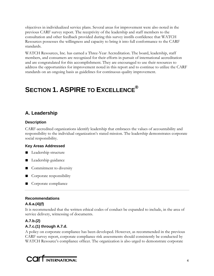objectives in individualized service plans. Several areas for improvement were also noted in the previous CARF survey report. The receptivity of the leadership and staff members to the consultation and other feedback provided during this survey instills confidence that WATCH Resources possesses the willingness and capacity to bring it into full conformance to the CARF standards.

WATCH Resources, Inc. has earned a Three-Year Accreditation. The board, leadership, staff members, and consumers are recognized for their efforts in pursuit of international accreditation and are congratulated for this accomplishment. They are encouraged to use their resources to address the opportunities for improvement noted in this report and to continue to utilize the CARF standards on an ongoing basis as guidelines for continuous quality improvement.

# **SECTION 1. ASPIRE TO EXCELLENCE®**

## **A. Leadership**

#### **Description**

CARF-accredited organizations identify leadership that embraces the values of accountability and responsibility to the individual organization's stated mission. The leadership demonstrates corporate social responsibility.

#### **Key Areas Addressed**

- Leadership structure
- Leadership guidance
- Commitment to diversity
- Corporate responsibility
- Corporate compliance

### **Recommendations**

#### **A.6.a.(4)(f)**

It is recommended that the written ethical codes of conduct be expanded to include, in the area of service delivery, witnessing of documents.

## **A.7.b.(2) A.7.c.(1) through A.7.d.**

A policy on corporate compliance has been developed. However, as recommended in the previous CARF survey report, corporate compliance risk assessments should consistently be conducted by WATCH Resource's compliance officer. The organization is also urged to demonstrate corporate

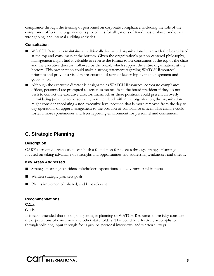compliance through the training of personnel on corporate compliance, including the role of the compliance officer; the organization's procedures for allegations of fraud, waste, abuse, and other wrongdoing; and internal auditing activities.

#### **Consultation**

- WATCH Resources maintains a traditionally formatted organizational chart with the board listed at the top and consumers at the bottom. Given the organization's person-centered philosophy, management might find it valuable to reverse the format to list consumers at the top of the chart and the executive director, followed by the board, which support the entire organization, at the bottom. This presentation could make a strong statement regarding WATCH Resources' priorities and provide a visual representation of servant leadership by the management and governance.
- Although the executive director is designated as WATCH Resources' corporate compliance officer, personnel are prompted to access assistance from the board president if they do not wish to contact the executive director. Inasmuch as these positions could present an overly intimidating presence to personnel, given their level within the organization, the organization might consider appointing a non-executive-level position that is more removed from the day-today operations of upper management to the position of compliance officer. This change could foster a more spontaneous and freer reporting environment for personnel and consumers.

## **C. Strategic Planning**

#### **Description**

CARF-accredited organizations establish a foundation for success through strategic planning focused on taking advantage of strengths and opportunities and addressing weaknesses and threats.

#### **Key Areas Addressed**

- Strategic planning considers stakeholder expectations and environmental impacts
- Written strategic plan sets goals
- Plan is implemented, shared, and kept relevant

#### **Recommendations**

**C.1.a.** 

#### **C.1.b.**

It is recommended that the ongoing strategic planning of WATCH Resources more fully consider the expectations of consumers and other stakeholders. This could be effectively accomplished through soliciting input through focus groups, personal interviews, and written surveys.

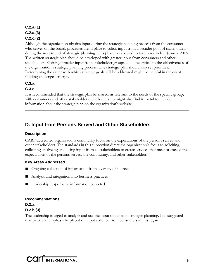#### **C.2.a.(1) C.2.a.(3) C.2.c.(2)**

Although the organization obtains input during the strategic planning process from the consumer who serves on the board, processes are in place to solicit input from a broader pool of stakeholders during the next round of strategic planning. This phase is expected to take place in late January 2016. The written strategic plan should be developed with greater input from consumers and other stakeholders. Gaining broader input from stakeholder groups could be critical to the effectiveness of the organization's strategic planning process. The strategic plan should also set priorities. Determining the order with which strategic goals will be addressed might be helpful in the event funding challenges emerge.

#### **C.3.a.**

#### **C.3.c.**

It is recommended that the strategic plan be shared, as relevant to the needs of the specific group, with consumers and other stakeholders. The leadership might also find it useful to include information about the strategic plan on the organization's website.

## **D. Input from Persons Served and Other Stakeholders**

#### **Description**

CARF-accredited organizations continually focus on the expectations of the persons served and other stakeholders. The standards in this subsection direct the organization's focus to soliciting, collecting, analyzing, and using input from all stakeholders to create services that meet or exceed the expectations of the persons served, the community, and other stakeholders.

#### **Key Areas Addressed**

- Ongoing collection of information from a variety of sources
- Analysis and integration into business practices
- Leadership response to information collected

**Recommendations D.2.a. D.2.b.(3)** 

The leadership is urged to analyze and use the input obtained in strategic planning. It is suggested that particular emphasis be placed on input solicited from consumers in this regard.

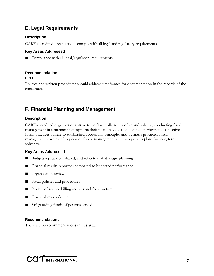## **E. Legal Requirements**

#### **Description**

CARF-accredited organizations comply with all legal and regulatory requirements.

#### **Key Areas Addressed**

■ Compliance with all legal/regulatory requirements

#### **Recommendations**

#### **E.3.f.**

Policies and written procedures should address timeframes for documentation in the records of the consumers.

## **F. Financial Planning and Management**

#### **Description**

CARF-accredited organizations strive to be financially responsible and solvent, conducting fiscal management in a manner that supports their mission, values, and annual performance objectives. Fiscal practices adhere to established accounting principles and business practices. Fiscal management covers daily operational cost management and incorporates plans for long-term solvency.

#### **Key Areas Addressed**

- Budget(s) prepared, shared, and reflective of strategic planning
- Financial results reported/compared to budgeted performance
- Organization review
- Fiscal policies and procedures
- Review of service billing records and fee structure
- Financial review/audit
- Safeguarding funds of persons served

#### **Recommendations**

There are no recommendations in this area.

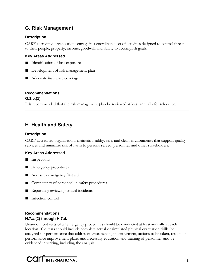## **G. Risk Management**

#### **Description**

CARF-accredited organizations engage in a coordinated set of activities designed to control threats to their people, property, income, goodwill, and ability to accomplish goals.

#### **Key Areas Addressed**

- Identification of loss exposures
- Development of risk management plan
- Adequate insurance coverage

#### **Recommendations**

#### **G.1.b.(1)**

It is recommended that the risk management plan be reviewed at least annually for relevance.

## **H. Health and Safety**

#### **Description**

CARF-accredited organizations maintain healthy, safe, and clean environments that support quality services and minimize risk of harm to persons served, personnel, and other stakeholders.

#### **Key Areas Addressed**

- Inspections
- Emergency procedures
- Access to emergency first aid
- Competency of personnel in safety procedures
- Reporting/reviewing critical incidents
- Infection control

#### **Recommendations H.7.a.(2) through H.7.d.**

Unannounced tests of all emergency procedures should be conducted at least annually at each location. The tests should include complete actual or simulated physical evacuation drills; be analyzed for performance that addresses areas needing improvement, actions to be taken, results of performance improvement plans, and necessary education and training of personnel; and be evidenced in writing, including the analysis.

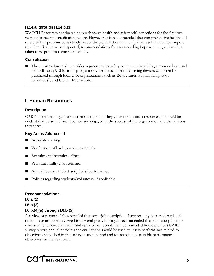#### **H.14.a. through H.14.b.(3)**

WATCH Resources conducted comprehensive health and safety self-inspections for the first two years of its recent accreditation tenure. However, it is recommended that comprehensive health and safety self-inspections consistently be conducted at last semiannually that result in a written report that identifies the areas inspected, recommendations for areas needing improvement, and actions taken to respond to recommendations.

#### **Consultation**

■ The organization might consider augmenting its safety equipment by adding automated external defibrillators (AEDs) to its program services areas. These life-saving devices can often be purchased through local civic organizations, such as Rotary International, Knights of Columbus®, and Civitan International.

## **I. Human Resources**

#### **Description**

CARF-accredited organizations demonstrate that they value their human resources. It should be evident that personnel are involved and engaged in the success of the organization and the persons they serve.

#### **Key Areas Addressed**

- Adequate staffing
- Verification of background/credentials
- Recruitment/retention efforts
- Personnel skills/characteristics
- Annual review of job descriptions/performance
- Policies regarding students/volunteers, if applicable

## **Recommendations**

**I.6.a.(1) I.6.b.(2) I.6.b.(4)(a) through I.6.b.(5)** 

A review of personnel files revealed that some job descriptions have recently been reviewed and others have not been reviewed for several years. It is again recommended that job descriptions be consistently reviewed annually and updated as needed. As recommended in the previous CARF survey report, annual performance evaluations should be used to assess performance related to objectives established in the last evaluation period and to establish measurable performance objectives for the next year.

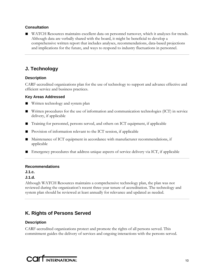#### **Consultation**

■ WATCH Resources maintains excellent data on personnel turnover, which it analyzes for trends. Although data are verbally shared with the board, it might be beneficial to develop a comprehensive written report that includes analyses, recommendations, data-based projections and implications for the future, and ways to respond to industry fluctuations in personnel.

## **J. Technology**

#### **Description**

CARF-accredited organizations plan for the use of technology to support and advance effective and efficient service and business practices.

#### **Key Areas Addressed**

- Written technology and system plan
- Written procedures for the use of information and communication technologies (ICT) in service delivery, if applicable
- Training for personnel, persons served, and others on ICT equipment, if applicable
- Provision of information relevant to the ICT session, if applicable
- Maintenance of ICT equipment in accordance with manufacturer recommendations, if applicable
- Emergency procedures that address unique aspects of service delivery via ICT, if applicable

#### **Recommendations**

#### **J.1.c.**

#### **J.1.d.**

Although WATCH Resources maintains a comprehensive technology plan, the plan was not reviewed during the organization's recent three-year tenure of accreditation. The technology and system plan should be reviewed at least annually for relevance and updated as needed.

## **K. Rights of Persons Served**

#### **Description**

CARF-accredited organizations protect and promote the rights of all persons served. This commitment guides the delivery of services and ongoing interactions with the persons served.

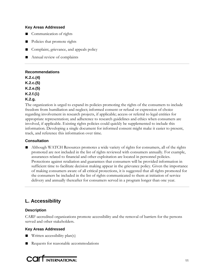#### **Key Areas Addressed**

- Communication of rights
- Policies that promote rights
- Complaint, grievance, and appeals policy
- Annual review of complaints

#### **Recommendations**

**K.2.c.(4) K.2.c.(5) K.2.e.(5) K.2.f.(1) K.2.g.** 

The organization is urged to expand its policies promoting the rights of the consumers to include freedom from humiliation and neglect; informed consent or refusal or expression of choice regarding involvement in research projects, if applicable; access or referral to legal entities for appropriate representation; and adherence to research guidelines and ethics when consumers are involved, if applicable. Existing rights policies could quickly be supplemented to include this information. Developing a single document for informed consent might make it easier to present, track, and reference this information over time.

#### **Consultation**

■ Although WATCH Resources promotes a wide variety of rights for consumers, all of the rights promoted are not included in the list of rights reviewed with consumers annually. For example, assurances related to financial and other exploitation are located in personnel policies. Protections against retaliation and guarantees that consumers will be provided information in sufficient time to facilitate decision making appear in the grievance policy. Given the importance of making consumers aware of all critical protections, it is suggested that all rights promoted for the consumers be included in the list of rights communicated to them at initiation of service delivery and annually thereafter for consumers served in a program longer than one year.

## **L. Accessibility**

#### **Description**

CARF-accredited organizations promote accessibility and the removal of barriers for the persons served and other stakeholders.

#### **Key Areas Addressed**

- Written accessibility plan(s)
- Requests for reasonable accommodations

**COLLINTERNATIONAL**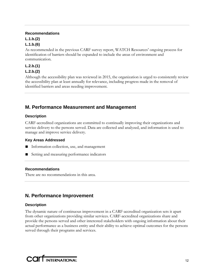#### **Recommendations**

## **L.1.b.(2)**

#### **L.1.b.(6)**

As recommended in the previous CARF survey report, WATCH Resources' ongoing process for identification of barriers should be expanded to include the areas of environment and communication.

## **L.2.b.(1) L.2.b.(2)**

Although the accessibility plan was reviewed in 2015, the organization is urged to consistently review the accessibility plan at least annually for relevance, including progress made in the removal of identified barriers and areas needing improvement.

## **M. Performance Measurement and Management**

#### **Description**

CARF-accredited organizations are committed to continually improving their organizations and service delivery to the persons served. Data are collected and analyzed, and information is used to manage and improve service delivery.

#### **Key Areas Addressed**

- Information collection, use, and management
- Setting and measuring performance indicators

#### **Recommendations**

There are no recommendations in this area.

## **N. Performance Improvement**

#### **Description**

The dynamic nature of continuous improvement in a CARF-accredited organization sets it apart from other organizations providing similar services. CARF-accredited organizations share and provide the persons served and other interested stakeholders with ongoing information about their actual performance as a business entity and their ability to achieve optimal outcomes for the persons served through their programs and services.

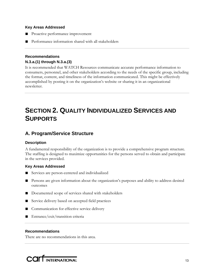#### **Key Areas Addressed**

- Proactive performance improvement
- Performance information shared with all stakeholders

#### **Recommendations N.3.a.(1) through N.3.a.(3)**

It is recommended that WATCH Resources communicate accurate performance information to consumers, personnel, and other stakeholders according to the needs of the specific group, including the format, content, and timeliness of the information communicated. This might be effectively accomplished by posting it on the organization's website or sharing it in an organizational newsletter.

# **SECTION 2. QUALITY INDIVIDUALIZED SERVICES AND SUPPORTS**

## **A. Program/Service Structure**

#### **Description**

A fundamental responsibility of the organization is to provide a comprehensive program structure. The staffing is designed to maximize opportunities for the persons served to obtain and participate in the services provided.

#### **Key Areas Addressed**

- Services are person-centered and individualized
- Persons are given information about the organization's purposes and ability to address desired outcomes
- Documented scope of services shared with stakeholders
- Service delivery based on accepted field practices
- Communication for effective service delivery
- Entrance/exit/transition criteria

#### **Recommendations**

There are no recommendations in this area.

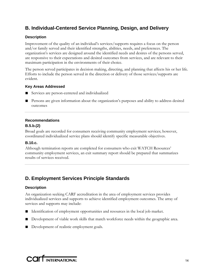## **B. Individual-Centered Service Planning, Design, and Delivery**

#### **Description**

Improvement of the quality of an individual's services/supports requires a focus on the person and/or family served and their identified strengths, abilities, needs, and preferences. The organization's services are designed around the identified needs and desires of the persons served, are responsive to their expectations and desired outcomes from services, and are relevant to their maximum participation in the environments of their choice.

The person served participates in decision making, directing, and planning that affects his or her life. Efforts to include the person served in the direction or delivery of those services/supports are evident.

#### **Key Areas Addressed**

- Services are person-centered and individualized
- Persons are given information about the organization's purposes and ability to address desired outcomes

#### **Recommendations**

#### **B.5.b.(2)**

Broad goals are recorded for consumers receiving community employment services; however, coordinated individualized service plans should identify specific measurable objectives.

#### **B.10.c.**

Although termination reports are completed for consumers who exit WATCH Resources' community employment services, an exit summary report should be prepared that summarizes results of services received.

## **D. Employment Services Principle Standards**

#### **Description**

An organization seeking CARF accreditation in the area of employment services provides individualized services and supports to achieve identified employment outcomes. The array of services and supports may include:

- Identification of employment opportunities and resources in the local job market.
- Development of viable work skills that match workforce needs within the geographic area.
- Development of realistic employment goals.

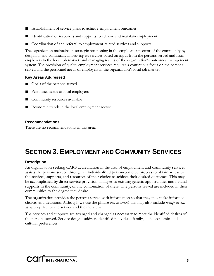- Establishment of service plans to achieve employment outcomes.
- Identification of resources and supports to achieve and maintain employment.
- Coordination of and referral to employment-related services and supports.

The organization maintains its strategic positioning in the employment sector of the community by designing and continually improving its services based on input from the persons served and from employers in the local job market, and managing results of the organization's outcomes management system. The provision of quality employment services requires a continuous focus on the persons served and the personnel needs of employers in the organization's local job market.

#### **Key Areas Addressed**

- Goals of the persons served
- Personnel needs of local employers
- Community resources available
- Economic trends in the local employment sector

#### **Recommendations**

There are no recommendations in this area.

# **SECTION 3. EMPLOYMENT AND COMMUNITY SERVICES**

#### **Description**

An organization seeking CARF accreditation in the area of employment and community services assists the persons served through an individualized person-centered process to obtain access to the services, supports, and resources of their choice to achieve their desired outcomes. This may be accomplished by direct service provision, linkages to existing generic opportunities and natural supports in the community, or any combination of these. The persons served are included in their communities to the degree they desire.

The organization provides the persons served with information so that they may make informed choices and decisions. Although we use the phrase *person served,* this may also include *family served,* as appropriate to the service and the individual.

The services and supports are arranged and changed as necessary to meet the identified desires of the persons served. Service designs address identified individual, family, socioeconomic, and cultural preferences.

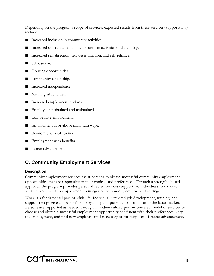Depending on the program's scope of services, expected results from these services/supports may include:

- Increased inclusion in community activities.
- Increased or maintained ability to perform activities of daily living.
- Increased self-direction, self-determination, and self-reliance.
- Self-esteem.
- Housing opportunities.
- Community citizenship.
- Increased independence.
- Meaningful activities.
- Increased employment options.
- Employment obtained and maintained.
- Competitive employment.
- Employment at or above minimum wage.
- Economic self-sufficiency.
- Employment with benefits.
- Career advancement.

## **C. Community Employment Services**

#### **Description**

Community employment services assist persons to obtain successful community employment opportunities that are responsive to their choices and preferences. Through a strengths-based approach the program provides person-directed services/supports to individuals to choose, achieve, and maintain employment in integrated community employment settings.

Work is a fundamental part of adult life. Individually tailored job development, training, and support recognize each person's employability and potential contribution to the labor market. Persons are supported as needed through an individualized person-centered model of services to choose and obtain a successful employment opportunity consistent with their preferences, keep the employment, and find new employment if necessary or for purposes of career advancement.

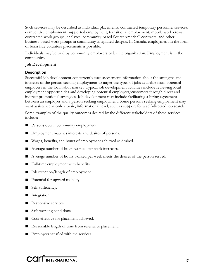Such services may be described as individual placements, contracted temporary personnel services, competitive employment, supported employment, transitional employment, mobile work crews, contracted work groups, enclaves, community-based SourceAmerica® contracts, and other business-based work groups in community-integrated designs. In Canada, employment in the form of bona fide volunteer placements is possible.

Individuals may be paid by community employers or by the organization. Employment is in the community.

#### **Job Development**

#### **Description**

Successful job development concurrently uses assessment information about the strengths and interests of the person seeking employment to target the types of jobs available from potential employers in the local labor market. Typical job development activities include reviewing local employment opportunities and developing potential employers/customers through direct and indirect promotional strategies. Job development may include facilitating a hiring agreement between an employer and a person seeking employment. Some persons seeking employment may want assistance at only a basic, informational level, such as support for a self-directed job search.

Some examples of the quality outcomes desired by the different stakeholders of these services include:

- Persons obtain community employment.
- Employment matches interests and desires of persons.
- Wages, benefits, and hours of employment achieved as desired.
- Average number of hours worked per week increases.
- Average number of hours worked per week meets the desires of the person served.
- Full-time employment with benefits.
- Job retention/length of employment.
- Potential for upward mobility.
- Self-sufficiency.
- Integration.
- Responsive services.
- Safe working conditions.
- Cost-effective for placement achieved.
- Reasonable length of time from referral to placement.
- Employers satisfied with the services.

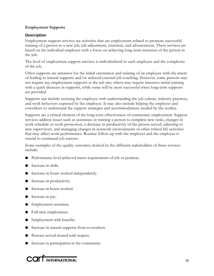#### **Employment Supports**

#### **Description**

Employment support services are activities that are employment-related to promote successful training of a person to a new job, job adjustment, retention, and advancement. These services are based on the individual employee with a focus on achieving long-term retention of the person in the job.

The level of employment support services is individualized to each employee and the complexity of the job.

Often supports are intensive for the initial orientation and training of an employee with the intent of leading to natural supports and/or reduced external job coaching. However, some persons may not require any employment supports at the job site; others may require intensive initial training with a quick decrease in supports, while some will be most successful when long-term supports are provided.

Supports can include assisting the employee with understanding the job culture, industry practices, and work behaviors expected by the employer. It may also include helping the employer and coworkers to understand the support strategies and accommodations needed by the worker.

Supports are a critical element of the long-term effectiveness of community employment. Support services address issues such as assistance in training a person to complete new tasks, changes in work schedule or work promotion, a decrease in productivity of the person served, adjusting to new supervisors, and managing changes in nonwork environments or other critical life activities that may affect work performance. Routine follow-up with the employer and the employee is crucial to continued job success.

Some examples of the quality outcomes desired by the different stakeholders of these services include:

- Performance level achieved meets requirements of job or position.
- Increase in skills.
- Increase in hours worked independently.
- Increase in productivity.
- Increase in hours worked.
- Increase in pay.
- Employment retention.
- Full-time employment.
- Employment with benefits.
- Increase in natural supports from co-workers.
- Persons served treated with respect.
- Increase in participation in the community.

**COLL** INTERNATIONAL